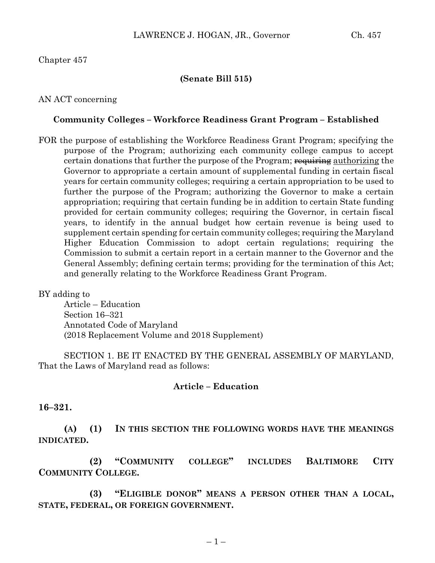# Chapter 457

## **(Senate Bill 515)**

## AN ACT concerning

### **Community Colleges – Workforce Readiness Grant Program – Established**

FOR the purpose of establishing the Workforce Readiness Grant Program; specifying the purpose of the Program; authorizing each community college campus to accept certain donations that further the purpose of the Program; requiring authorizing the Governor to appropriate a certain amount of supplemental funding in certain fiscal years for certain community colleges; requiring a certain appropriation to be used to further the purpose of the Program; authorizing the Governor to make a certain appropriation; requiring that certain funding be in addition to certain State funding provided for certain community colleges; requiring the Governor, in certain fiscal years, to identify in the annual budget how certain revenue is being used to supplement certain spending for certain community colleges; requiring the Maryland Higher Education Commission to adopt certain regulations; requiring the Commission to submit a certain report in a certain manner to the Governor and the General Assembly; defining certain terms; providing for the termination of this Act; and generally relating to the Workforce Readiness Grant Program.

## BY adding to

Article – Education Section 16–321 Annotated Code of Maryland (2018 Replacement Volume and 2018 Supplement)

SECTION 1. BE IT ENACTED BY THE GENERAL ASSEMBLY OF MARYLAND, That the Laws of Maryland read as follows:

#### **Article – Education**

### **16–321.**

**(A) (1) IN THIS SECTION THE FOLLOWING WORDS HAVE THE MEANINGS INDICATED.**

**(2) "COMMUNITY COLLEGE" INCLUDES BALTIMORE CITY COMMUNITY COLLEGE.**

**(3) "ELIGIBLE DONOR" MEANS A PERSON OTHER THAN A LOCAL, STATE, FEDERAL, OR FOREIGN GOVERNMENT.**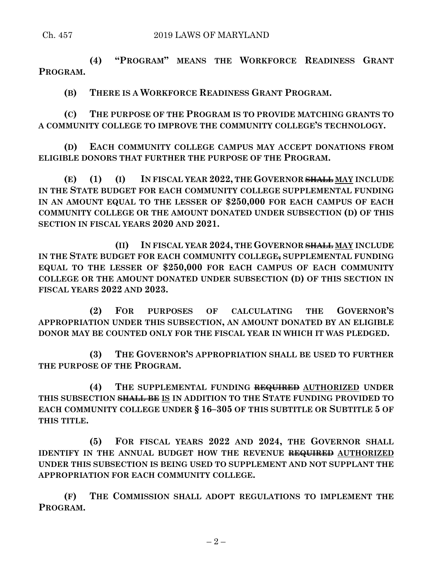**(4) "PROGRAM" MEANS THE WORKFORCE READINESS GRANT PROGRAM.**

**(B) THERE IS A WORKFORCE READINESS GRANT PROGRAM.**

**(C) THE PURPOSE OF THE PROGRAM IS TO PROVIDE MATCHING GRANTS TO A COMMUNITY COLLEGE TO IMPROVE THE COMMUNITY COLLEGE'S TECHNOLOGY.**

**(D) EACH COMMUNITY COLLEGE CAMPUS MAY ACCEPT DONATIONS FROM ELIGIBLE DONORS THAT FURTHER THE PURPOSE OF THE PROGRAM.**

**(E) (1) (I) IN FISCAL YEAR 2022, THE GOVERNOR SHALL MAY INCLUDE IN THE STATE BUDGET FOR EACH COMMUNITY COLLEGE SUPPLEMENTAL FUNDING IN AN AMOUNT EQUAL TO THE LESSER OF \$250,000 FOR EACH CAMPUS OF EACH COMMUNITY COLLEGE OR THE AMOUNT DONATED UNDER SUBSECTION (D) OF THIS SECTION IN FISCAL YEARS 2020 AND 2021.**

**(II) IN FISCAL YEAR 2024, THE GOVERNOR SHALL MAY INCLUDE IN THE STATE BUDGET FOR EACH COMMUNITY COLLEGE, SUPPLEMENTAL FUNDING EQUAL TO THE LESSER OF \$250,000 FOR EACH CAMPUS OF EACH COMMUNITY COLLEGE OR THE AMOUNT DONATED UNDER SUBSECTION (D) OF THIS SECTION IN FISCAL YEARS 2022 AND 2023.**

**(2) FOR PURPOSES OF CALCULATING THE GOVERNOR'S APPROPRIATION UNDER THIS SUBSECTION, AN AMOUNT DONATED BY AN ELIGIBLE DONOR MAY BE COUNTED ONLY FOR THE FISCAL YEAR IN WHICH IT WAS PLEDGED.**

**(3) THE GOVERNOR'S APPROPRIATION SHALL BE USED TO FURTHER THE PURPOSE OF THE PROGRAM.**

**(4) THE SUPPLEMENTAL FUNDING REQUIRED AUTHORIZED UNDER THIS SUBSECTION SHALL BE IS IN ADDITION TO THE STATE FUNDING PROVIDED TO EACH COMMUNITY COLLEGE UNDER § 16–305 OF THIS SUBTITLE OR SUBTITLE 5 OF THIS TITLE.**

**(5) FOR FISCAL YEARS 2022 AND 2024, THE GOVERNOR SHALL IDENTIFY IN THE ANNUAL BUDGET HOW THE REVENUE REQUIRED AUTHORIZED UNDER THIS SUBSECTION IS BEING USED TO SUPPLEMENT AND NOT SUPPLANT THE APPROPRIATION FOR EACH COMMUNITY COLLEGE.**

**(F) THE COMMISSION SHALL ADOPT REGULATIONS TO IMPLEMENT THE PROGRAM.**